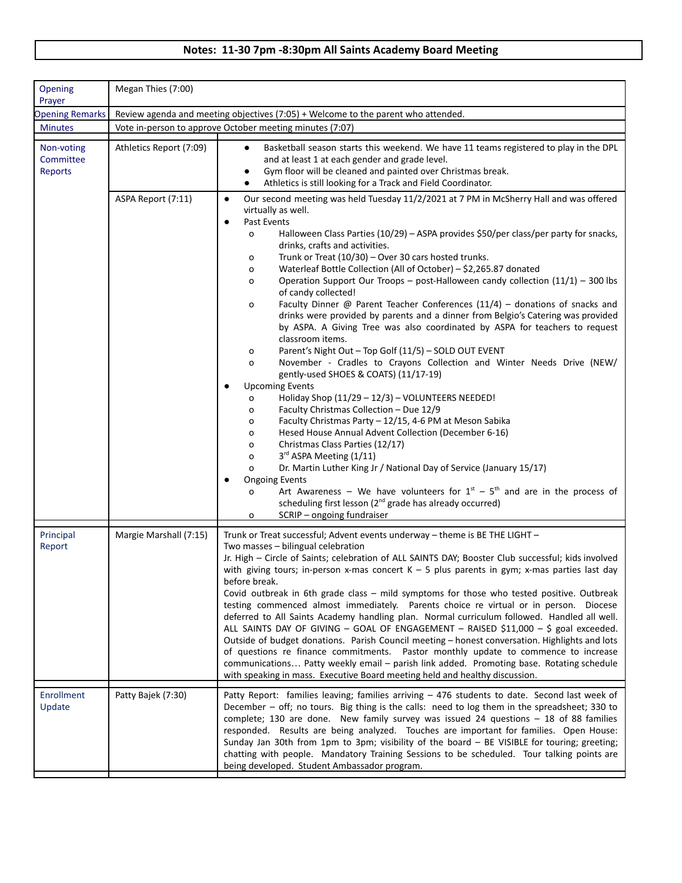## **Notes: 11-30 7pm -8:30pm All Saints Academy Board Meeting**

| Opening<br>Prayer                         | Megan Thies (7:00)                                                                |                                                                                                                                                                                                                                                                                                                                                                                                                                                                                                                                                                                                                                                                                                                                                                                                                                                                                                                                                                                                                                                                                                                                                                                                                                                                                                                                                                                                                                                                                                                                                                                                                                                                                 |
|-------------------------------------------|-----------------------------------------------------------------------------------|---------------------------------------------------------------------------------------------------------------------------------------------------------------------------------------------------------------------------------------------------------------------------------------------------------------------------------------------------------------------------------------------------------------------------------------------------------------------------------------------------------------------------------------------------------------------------------------------------------------------------------------------------------------------------------------------------------------------------------------------------------------------------------------------------------------------------------------------------------------------------------------------------------------------------------------------------------------------------------------------------------------------------------------------------------------------------------------------------------------------------------------------------------------------------------------------------------------------------------------------------------------------------------------------------------------------------------------------------------------------------------------------------------------------------------------------------------------------------------------------------------------------------------------------------------------------------------------------------------------------------------------------------------------------------------|
| <b>Opening Remarks</b>                    | Review agenda and meeting objectives (7:05) + Welcome to the parent who attended. |                                                                                                                                                                                                                                                                                                                                                                                                                                                                                                                                                                                                                                                                                                                                                                                                                                                                                                                                                                                                                                                                                                                                                                                                                                                                                                                                                                                                                                                                                                                                                                                                                                                                                 |
| <b>Minutes</b>                            | Vote in-person to approve October meeting minutes (7:07)                          |                                                                                                                                                                                                                                                                                                                                                                                                                                                                                                                                                                                                                                                                                                                                                                                                                                                                                                                                                                                                                                                                                                                                                                                                                                                                                                                                                                                                                                                                                                                                                                                                                                                                                 |
| Non-voting<br>Committee<br><b>Reports</b> | Athletics Report (7:09)                                                           | Basketball season starts this weekend. We have 11 teams registered to play in the DPL<br>$\bullet$<br>and at least 1 at each gender and grade level.<br>Gym floor will be cleaned and painted over Christmas break.<br>Athletics is still looking for a Track and Field Coordinator.<br>$\bullet$                                                                                                                                                                                                                                                                                                                                                                                                                                                                                                                                                                                                                                                                                                                                                                                                                                                                                                                                                                                                                                                                                                                                                                                                                                                                                                                                                                               |
|                                           | ASPA Report (7:11)                                                                | Our second meeting was held Tuesday 11/2/2021 at 7 PM in McSherry Hall and was offered<br>$\bullet$<br>virtually as well.<br>Past Events<br>$\bullet$<br>Halloween Class Parties (10/29) - ASPA provides \$50/per class/per party for snacks,<br>o<br>drinks, crafts and activities.<br>Trunk or Treat (10/30) - Over 30 cars hosted trunks.<br>o<br>Waterleaf Bottle Collection (All of October) - \$2,265.87 donated<br>o<br>Operation Support Our Troops - post-Halloween candy collection (11/1) - 300 lbs<br>o<br>of candy collected!<br>Faculty Dinner @ Parent Teacher Conferences $(11/4)$ - donations of snacks and<br>o<br>drinks were provided by parents and a dinner from Belgio's Catering was provided<br>by ASPA. A Giving Tree was also coordinated by ASPA for teachers to request<br>classroom items.<br>Parent's Night Out - Top Golf (11/5) - SOLD OUT EVENT<br>o<br>November - Cradles to Crayons Collection and Winter Needs Drive (NEW/<br>o<br>gently-used SHOES & COATS) (11/17-19)<br><b>Upcoming Events</b><br>$\bullet$<br>Holiday Shop (11/29 - 12/3) - VOLUNTEERS NEEDED!<br>o<br>Faculty Christmas Collection - Due 12/9<br>o<br>Faculty Christmas Party - 12/15, 4-6 PM at Meson Sabika<br>o<br>Hesed House Annual Advent Collection (December 6-16)<br>o<br>Christmas Class Parties (12/17)<br>o<br>3rd ASPA Meeting (1/11)<br>0<br>Dr. Martin Luther King Jr / National Day of Service (January 15/17)<br>o<br><b>Ongoing Events</b><br>Art Awareness - We have volunteers for $1^{st}$ - $5^{th}$ and are in the process of<br>o<br>scheduling first lesson (2 <sup>nd</sup> grade has already occurred)<br>SCRIP - ongoing fundraiser<br>o |
| Principal<br>Report                       | Margie Marshall (7:15)                                                            | Trunk or Treat successful; Advent events underway - theme is BE THE LIGHT -<br>Two masses - bilingual celebration<br>Jr. High - Circle of Saints; celebration of ALL SAINTS DAY; Booster Club successful; kids involved<br>with giving tours; in-person x-mas concert $K - 5$ plus parents in gym; x-mas parties last day<br>before break.<br>Covid outbreak in 6th grade class - mild symptoms for those who tested positive. Outbreak<br>testing commenced almost immediately. Parents choice re virtual or in person. Diocese<br>deferred to All Saints Academy handling plan. Normal curriculum followed. Handled all well.<br>ALL SAINTS DAY OF GIVING - GOAL OF ENGAGEMENT - RAISED \$11,000 - \$ goal exceeded.<br>Outside of budget donations. Parish Council meeting - honest conversation. Highlights and lots<br>of questions re finance commitments. Pastor monthly update to commence to increase<br>communications Patty weekly email - parish link added. Promoting base. Rotating schedule<br>with speaking in mass. Executive Board meeting held and healthy discussion.                                                                                                                                                                                                                                                                                                                                                                                                                                                                                                                                                                                       |
| Enrollment<br>Update                      | Patty Bajek (7:30)                                                                | Patty Report: families leaving; families arriving $-$ 476 students to date. Second last week of<br>December - off; no tours. Big thing is the calls: need to log them in the spreadsheet; 330 to<br>complete; 130 are done. New family survey was issued 24 questions $-$ 18 of 88 families<br>responded. Results are being analyzed. Touches are important for families. Open House:<br>Sunday Jan 30th from 1pm to 3pm; visibility of the board - BE VISIBLE for touring; greeting;<br>chatting with people. Mandatory Training Sessions to be scheduled. Tour talking points are<br>being developed. Student Ambassador program.                                                                                                                                                                                                                                                                                                                                                                                                                                                                                                                                                                                                                                                                                                                                                                                                                                                                                                                                                                                                                                             |